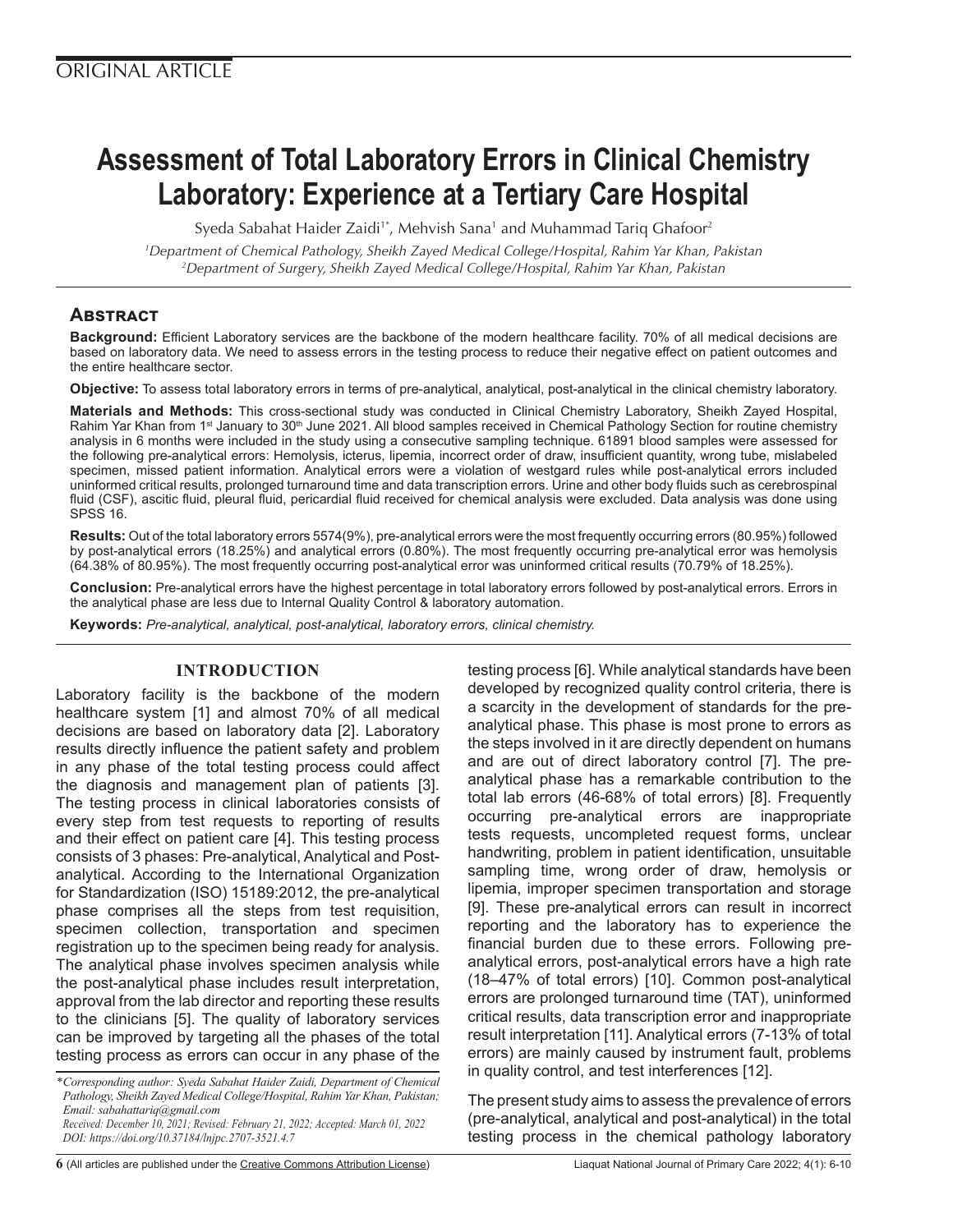# **Assessment of Total Laboratory Errors in Clinical Chemistry Laboratory: Experience at a Tertiary Care Hospital**

Syeda Sabahat Haider Zaidi<sup>1\*</sup>, Mehvish Sana<sup>1</sup> and Muhammad Tariq Ghafoor<sup>2</sup>

*1 Department of Chemical Pathology, Sheikh Zayed Medical College/Hospital, Rahim Yar Khan, Pakistan 2 Department of Surgery, Sheikh Zayed Medical College/Hospital, Rahim Yar Khan, Pakistan* 

# **Abstract**

**Background:** Efficient Laboratory services are the backbone of the modern healthcare facility. 70% of all medical decisions are based on laboratory data. We need to assess errors in the testing process to reduce their negative effect on patient outcomes and the entire healthcare sector.

**Objective:** To assess total laboratory errors in terms of pre-analytical, analytical, post-analytical in the clinical chemistry laboratory.

**Materials and Methods:** This cross-sectional study was conducted in Clinical Chemistry Laboratory, Sheikh Zayed Hospital, Rahim Yar Khan from 1<sup>st</sup> January to 30<sup>th</sup> June 2021. All blood samples received in Chemical Pathology Section for routine chemistry analysis in 6 months were included in the study using a consecutive sampling technique. 61891 blood samples were assessed for the following pre-analytical errors: Hemolysis, icterus, lipemia, incorrect order of draw, insufficient quantity, wrong tube, mislabeled specimen, missed patient information. Analytical errors were a violation of westgard rules while post-analytical errors included uninformed critical results, prolonged turnaround time and data transcription errors. Urine and other body fluids such as cerebrospinal fluid (CSF), ascitic fluid, pleural fluid, pericardial fluid received for chemical analysis were excluded. Data analysis was done using SPSS 16.

**Results:** Out of the total laboratory errors 5574(9%), pre-analytical errors were the most frequently occurring errors (80.95%) followed by post-analytical errors (18.25%) and analytical errors (0.80%). The most frequently occurring pre-analytical error was hemolysis (64.38% of 80.95%). The most frequently occurring post-analytical error was uninformed critical results (70.79% of 18.25%).

**Conclusion:** Pre-analytical errors have the highest percentage in total laboratory errors followed by post-analytical errors. Errors in the analytical phase are less due to Internal Quality Control & laboratory automation.

**Keywords:** *Pre-analytical, analytical, post-analytical, laboratory errors, clinical chemistry.*

# **INTRODUCTION**

Laboratory facility is the backbone of the modern healthcare system [1] and almost 70% of all medical decisions are based on laboratory data [2]. Laboratory results directly influence the patient safety and problem in any phase of the total testing process could affect the diagnosis and management plan of patients [3]. The testing process in clinical laboratories consists of every step from test requests to reporting of results and their effect on patient care [4]. This testing process consists of 3 phases: Pre-analytical, Analytical and Postanalytical. According to the International Organization for Standardization (ISO) 15189:2012, the pre-analytical phase comprises all the steps from test requisition, specimen collection, transportation and specimen registration up to the specimen being ready for analysis. The analytical phase involves specimen analysis while the post-analytical phase includes result interpretation, approval from the lab director and reporting these results to the clinicians [5]. The quality of laboratory services can be improved by targeting all the phases of the total testing process as errors can occur in any phase of the

lipemia, improper specimen transportation and storage [9]. These pre-analytical errors can result in incorrect reporting and the laboratory has to experience the financial burden due to these errors. Following preanalytical errors, post-analytical errors have a high rate (18–47% of total errors) [10]. Common post-analytical errors are prolonged turnaround time (TAT), uninformed critical results, data transcription error and inappropriate result interpretation [11]. Analytical errors (7-13% of total errors) are mainly caused by instrument fault, problems in quality control, and test interferences [12]. The present study aims to assess the prevalence of errors (pre-analytical, analytical and post-analytical) in the total testing process in the chemical pathology laboratory

**6** (All articles are published under the [Creative Commons Attribution License\)](https://creativecommons.org/licenses/by/4.0/) Liaquat National Journal of Primary Care 2022; 4(1): 6-10

testing process [6]. While analytical standards have been developed by recognized quality control criteria, there is a scarcity in the development of standards for the preanalytical phase. This phase is most prone to errors as the steps involved in it are directly dependent on humans and are out of direct laboratory control [7]. The preanalytical phase has a remarkable contribution to the total lab errors (46-68% of total errors) [8]. Frequently occurring pre-analytical errors are inappropriate tests requests, uncompleted request forms, unclear handwriting, problem in patient identification, unsuitable sampling time, wrong order of draw, hemolysis or

*<sup>\*</sup>Corresponding author: Syeda Sabahat Haider Zaidi, Department of Chemical Pathology, Sheikh Zayed Medical College/Hospital, Rahim Yar Khan, Pakistan; Email: sabahattariq@gmail.com Received: December 10, 2021; Revised: February 21, 2022; Accepted: March 01, 2022 DOI: https://doi.org/10.37184/lnjpc.2707-3521.4.7*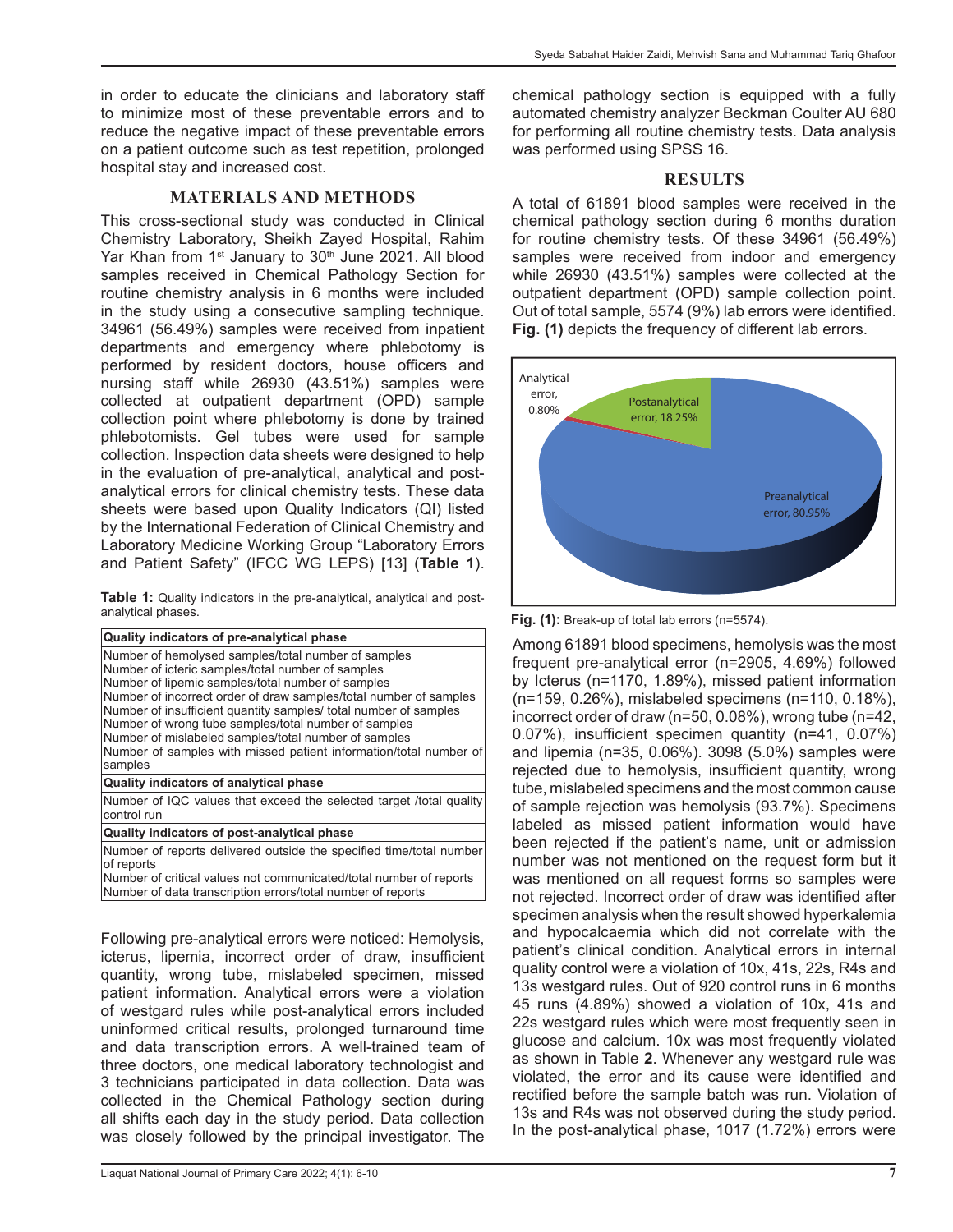in order to educate the clinicians and laboratory staff to minimize most of these preventable errors and to reduce the negative impact of these preventable errors on a patient outcome such as test repetition, prolonged hospital stay and increased cost.

## **MATERIALS AND METHODS**

This cross-sectional study was conducted in Clinical Chemistry Laboratory, Sheikh Zayed Hospital, Rahim Yar Khan from 1<sup>st</sup> January to 30<sup>th</sup> June 2021. All blood samples received in Chemical Pathology Section for routine chemistry analysis in 6 months were included in the study using a consecutive sampling technique. 34961 (56.49%) samples were received from inpatient departments and emergency where phlebotomy is performed by resident doctors, house officers and nursing staff while 26930 (43.51%) samples were collected at outpatient department (OPD) sample collection point where phlebotomy is done by trained phlebotomists. Gel tubes were used for sample collection. Inspection data sheets were designed to help in the evaluation of pre-analytical, analytical and postanalytical errors for clinical chemistry tests. These data sheets were based upon Quality Indicators (QI) listed by the International Federation of Clinical Chemistry and Laboratory Medicine Working Group "Laboratory Errors and Patient Safety" (IFCC WG LEPS) [13] (**Table 1**).

|                    |  |  | Table 1: Quality indicators in the pre-analytical, analytical and post- |  |
|--------------------|--|--|-------------------------------------------------------------------------|--|
| analytical phases. |  |  |                                                                         |  |

Following pre-analytical errors were noticed: Hemolysis, icterus, lipemia, incorrect order of draw, insufficient quantity, wrong tube, mislabeled specimen, missed patient information. Analytical errors were a violation of westgard rules while post-analytical errors included uninformed critical results, prolonged turnaround time and data transcription errors. A well-trained team of three doctors, one medical laboratory technologist and 3 technicians participated in data collection. Data was collected in the Chemical Pathology section during all shifts each day in the study period. Data collection was closely followed by the principal investigator. The

chemical pathology section is equipped with a fully automated chemistry analyzer Beckman Coulter AU 680 for performing all routine chemistry tests. Data analysis was performed using SPSS 16.

#### **RESULTS**

A total of 61891 blood samples were received in the chemical pathology section during 6 months duration for routine chemistry tests. Of these 34961 (56.49%) samples were received from indoor and emergency while 26930 (43.51%) samples were collected at the outpatient department (OPD) sample collection point. Out of total sample, 5574 (9%) lab errors were identified. **Fig. (1)** depicts the frequency of different lab errors.



**Fig. (1):** Break-up of total lab errors (n=5574).

Among 61891 blood specimens, hemolysis was the most frequent pre-analytical error (n=2905, 4.69%) followed by Icterus (n=1170, 1.89%), missed patient information (n=159, 0.26%), mislabeled specimens (n=110, 0.18%), incorrect order of draw (n=50, 0.08%), wrong tube (n=42, 0.07%), insufficient specimen quantity (n=41, 0.07%) and lipemia (n=35, 0.06%). 3098 (5.0%) samples were rejected due to hemolysis, insufficient quantity, wrong tube, mislabeled specimens and the most common cause of sample rejection was hemolysis (93.7%). Specimens labeled as missed patient information would have been rejected if the patient's name, unit or admission number was not mentioned on the request form but it was mentioned on all request forms so samples were not rejected. Incorrect order of draw was identified after specimen analysis when the result showed hyperkalemia and hypocalcaemia which did not correlate with the patient's clinical condition. Analytical errors in internal quality control were a violation of 10x, 41s, 22s, R4s and 13s westgard rules. Out of 920 control runs in 6 months 45 runs (4.89%) showed a violation of 10x, 41s and 22s westgard rules which were most frequently seen in glucose and calcium. 10x was most frequently violated as shown in Table **2**. Whenever any westgard rule was violated, the error and its cause were identified and rectified before the sample batch was run. Violation of 13s and R4s was not observed during the study period. In the post-analytical phase, 1017 (1.72%) errors were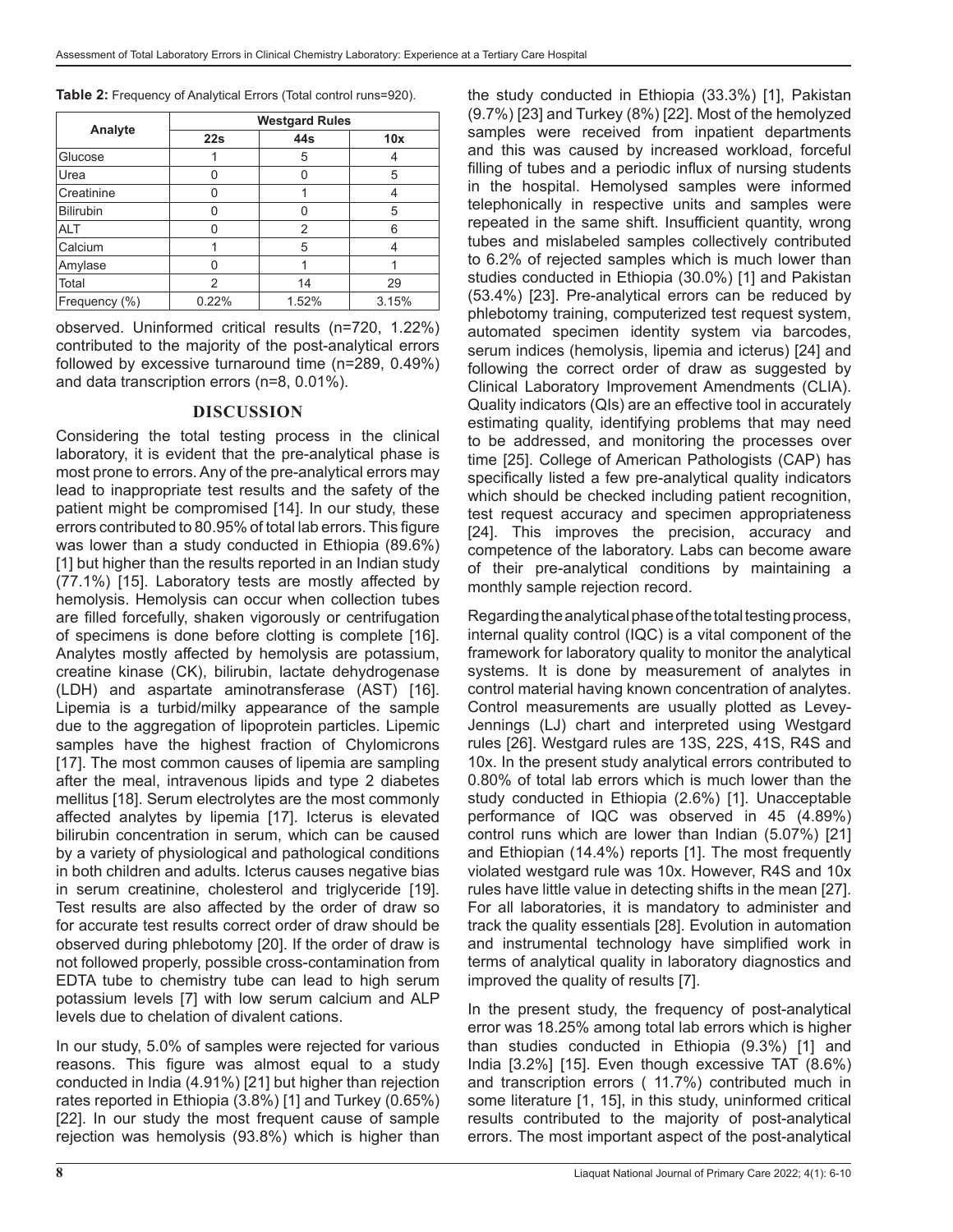**Table 2:** Frequency of Analytical Errors (Total control runs=920).

|                  | <b>Westgard Rules</b> |       |       |  |  |  |
|------------------|-----------------------|-------|-------|--|--|--|
| Analyte          | 22s                   | 44s   | 10x   |  |  |  |
| Glucose          |                       | 5     |       |  |  |  |
| Urea             | U                     |       | 5     |  |  |  |
| Creatinine       | 0                     |       |       |  |  |  |
| <b>Bilirubin</b> | U                     | Ω     | 5     |  |  |  |
| <b>ALT</b>       | U                     | 2     | 6     |  |  |  |
| Calcium          |                       | 5     |       |  |  |  |
| Amylase          | U                     |       |       |  |  |  |
| Total            | 2                     | 14    | 29    |  |  |  |
| Frequency (%)    | 0.22%                 | 1.52% | 3.15% |  |  |  |

observed. Uninformed critical results (n=720, 1.22%) contributed to the majority of the post-analytical errors followed by excessive turnaround time (n=289, 0.49%) and data transcription errors (n=8, 0.01%).

## **DISCUSSION**

Considering the total testing process in the clinical laboratory, it is evident that the pre-analytical phase is most prone to errors. Any of the pre-analytical errors may lead to inappropriate test results and the safety of the patient might be compromised [14]. In our study, these errors contributed to 80.95% of total lab errors. This figure was lower than a study conducted in Ethiopia (89.6%) [1] but higher than the results reported in an Indian study (77.1%) [15]. Laboratory tests are mostly affected by hemolysis. Hemolysis can occur when collection tubes are filled forcefully, shaken vigorously or centrifugation of specimens is done before clotting is complete [16]. Analytes mostly affected by hemolysis are potassium, creatine kinase (CK), bilirubin, lactate dehydrogenase (LDH) and aspartate aminotransferase (AST) [16]. Lipemia is a turbid/milky appearance of the sample due to the aggregation of lipoprotein particles. Lipemic samples have the highest fraction of Chylomicrons [17]. The most common causes of lipemia are sampling after the meal, intravenous lipids and type 2 diabetes mellitus [18]. Serum electrolytes are the most commonly affected analytes by lipemia [17]. Icterus is elevated bilirubin concentration in serum, which can be caused by a variety of physiological and pathological conditions in both children and adults. Icterus causes negative bias in serum creatinine, cholesterol and triglyceride [19]. Test results are also affected by the order of draw so for accurate test results correct order of draw should be observed during phlebotomy [20]. If the order of draw is not followed properly, possible cross-contamination from EDTA tube to chemistry tube can lead to high serum potassium levels [7] with low serum calcium and ALP levels due to chelation of divalent cations.

In our study, 5.0% of samples were rejected for various reasons. This figure was almost equal to a study conducted in India (4.91%) [21] but higher than rejection rates reported in Ethiopia (3.8%) [1] and Turkey (0.65%) [22]. In our study the most frequent cause of sample rejection was hemolysis (93.8%) which is higher than

the study conducted in Ethiopia (33.3%) [1], Pakistan (9.7%) [23] and Turkey (8%) [22]. Most of the hemolyzed samples were received from inpatient departments and this was caused by increased workload, forceful filling of tubes and a periodic influx of nursing students in the hospital. Hemolysed samples were informed telephonically in respective units and samples were repeated in the same shift. Insufficient quantity, wrong tubes and mislabeled samples collectively contributed to 6.2% of rejected samples which is much lower than studies conducted in Ethiopia (30.0%) [1] and Pakistan (53.4%) [23]. Pre-analytical errors can be reduced by phlebotomy training, computerized test request system, automated specimen identity system via barcodes, serum indices (hemolysis, lipemia and icterus) [24] and following the correct order of draw as suggested by Clinical Laboratory Improvement Amendments (CLIA). Quality indicators (QIs) are an effective tool in accurately estimating quality, identifying problems that may need to be addressed, and monitoring the processes over time [25]. College of American Pathologists (CAP) has specifically listed a few pre-analytical quality indicators which should be checked including patient recognition, test request accuracy and specimen appropriateness [24]. This improves the precision, accuracy and competence of the laboratory. Labs can become aware of their pre-analytical conditions by maintaining a monthly sample rejection record.

Regarding the analytical phase of the total testing process, internal quality control (IQC) is a vital component of the framework for laboratory quality to monitor the analytical systems. It is done by measurement of analytes in control material having known concentration of analytes. Control measurements are usually plotted as Levey-Jennings (LJ) chart and interpreted using Westgard rules [26]. Westgard rules are 13S, 22S, 41S, R4S and 10x. In the present study analytical errors contributed to 0.80% of total lab errors which is much lower than the study conducted in Ethiopia (2.6%) [1]. Unacceptable performance of IQC was observed in 45 (4.89%) control runs which are lower than Indian (5.07%) [21] and Ethiopian (14.4%) reports [1]. The most frequently violated westgard rule was 10x. However, R4S and 10x rules have little value in detecting shifts in the mean [27]. For all laboratories, it is mandatory to administer and track the quality essentials [28]. Evolution in automation and instrumental technology have simplified work in terms of analytical quality in laboratory diagnostics and improved the quality of results [7].

In the present study, the frequency of post-analytical error was 18.25% among total lab errors which is higher than studies conducted in Ethiopia (9.3%) [1] and India [3.2%] [15]. Even though excessive TAT (8.6%) and transcription errors ( 11.7%) contributed much in some literature [1, 15], in this study, uninformed critical results contributed to the majority of post-analytical errors. The most important aspect of the post-analytical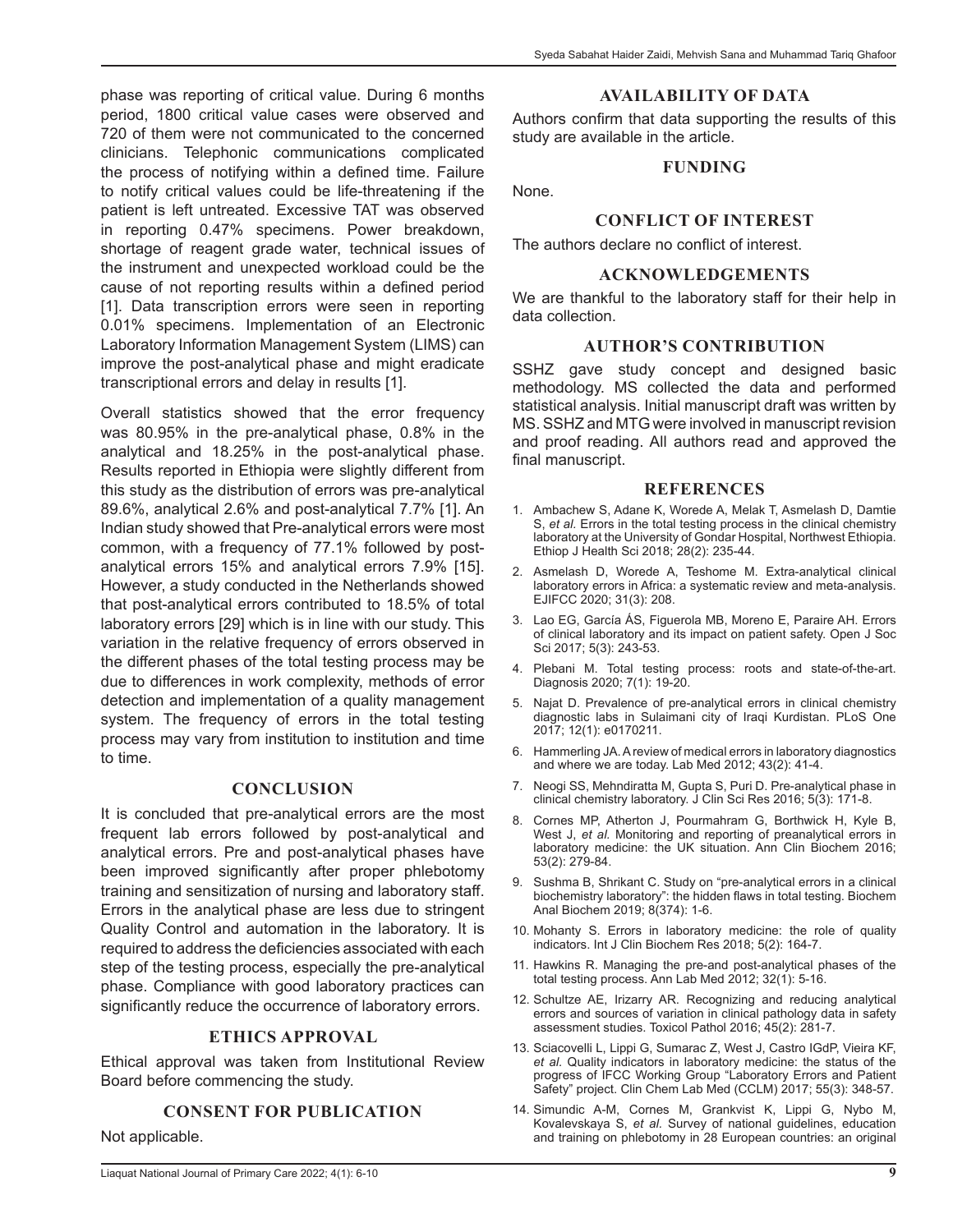phase was reporting of critical value. During 6 months period, 1800 critical value cases were observed and 720 of them were not communicated to the concerned clinicians. Telephonic communications complicated the process of notifying within a defined time. Failure to notify critical values could be life-threatening if the patient is left untreated. Excessive TAT was observed in reporting 0.47% specimens. Power breakdown, shortage of reagent grade water, technical issues of the instrument and unexpected workload could be the cause of not reporting results within a defined period [1]. Data transcription errors were seen in reporting 0.01% specimens. Implementation of an Electronic Laboratory Information Management System (LIMS) can improve the post-analytical phase and might eradicate transcriptional errors and delay in results [1].

Overall statistics showed that the error frequency was 80.95% in the pre-analytical phase, 0.8% in the analytical and 18.25% in the post-analytical phase. Results reported in Ethiopia were slightly different from this study as the distribution of errors was pre-analytical 89.6%, analytical 2.6% and post-analytical 7.7% [1]. An Indian study showed that Pre-analytical errors were most common, with a frequency of 77.1% followed by postanalytical errors 15% and analytical errors 7.9% [15]. However, a study conducted in the Netherlands showed that post-analytical errors contributed to 18.5% of total laboratory errors [29] which is in line with our study. This variation in the relative frequency of errors observed in the different phases of the total testing process may be due to differences in work complexity, methods of error detection and implementation of a quality management system. The frequency of errors in the total testing process may vary from institution to institution and time to time.

#### **CONCLUSION**

It is concluded that pre-analytical errors are the most frequent lab errors followed by post-analytical and analytical errors. Pre and post-analytical phases have been improved significantly after proper phlebotomy training and sensitization of nursing and laboratory staff. Errors in the analytical phase are less due to stringent Quality Control and automation in the laboratory. It is required to address the deficiencies associated with each step of the testing process, especially the pre-analytical phase. Compliance with good laboratory practices can significantly reduce the occurrence of laboratory errors.

## **ETHICS APPROVAL**

Ethical approval was taken from Institutional Review Board before commencing the study.

## **CONSENT FOR PUBLICATION**

Not applicable.

## **AVAILABILITY OF DATA**

Authors confirm that data supporting the results of this study are available in the article.

## **FUNDING**

None.

## **CONFLICT OF INTEREST**

The authors declare no conflict of interest.

#### **ACKNOWLEDGEMENTS**

We are thankful to the laboratory staff for their help in data collection.

## **AUTHOR'S CONTRIBUTION**

SSHZ gave study concept and designed basic methodology. MS collected the data and performed statistical analysis. Initial manuscript draft was written by MS. SSHZ and MTG were involved in manuscript revision and proof reading. All authors read and approved the final manuscript.

#### **REFERENCES**

- 1. Ambachew S, Adane K, Worede A, Melak T, Asmelash D, Damtie S, *et al.* Errors in the total testing process in the clinical chemistry laboratory at the University of Gondar Hospital, Northwest Ethiopia. Ethiop J Health Sci 2018; 28(2): 235-44.
- 2. Asmelash D, Worede A, Teshome M. Extra-analytical clinical laboratory errors in Africa: a systematic review and meta-analysis. EJIFCC 2020; 31(3): 208.
- 3. Lao EG, García ÁS, Figuerola MB, Moreno E, Paraire AH. Errors of clinical laboratory and its impact on patient safety. Open J Soc Sci 2017; 5(3): 243-53.
- 4. Plebani M. Total testing process: roots and state-of-the-art. Diagnosis 2020; 7(1): 19-20.
- 5. Najat D. Prevalence of pre-analytical errors in clinical chemistry diagnostic labs in Sulaimani city of Iraqi Kurdistan. PLoS One 2017; 12(1): e0170211.
- 6. Hammerling JA. A review of medical errors in laboratory diagnostics and where we are today. Lab Med 2012; 43(2): 41-4.
- 7. Neogi SS, Mehndiratta M, Gupta S, Puri D. Pre-analytical phase in clinical chemistry laboratory. J Clin Sci Res 2016; 5(3): 171-8.
- 8. Cornes MP, Atherton J, Pourmahram G, Borthwick H, Kyle B, West J, et al. Monitoring and reporting of preanalytical errors in laboratory medicine: the UK situation. Ann Clin Biochem 2016; 53(2): 279-84.
- 9. Sushma B, Shrikant C. Study on "pre-analytical errors in a clinical biochemistry laboratory": the hidden flaws in total testing. Biochem Anal Biochem 2019; 8(374): 1-6.
- 10. Mohanty S. Errors in laboratory medicine: the role of quality indicators. Int J Clin Biochem Res 2018; 5(2): 164-7.
- 11. Hawkins R. Managing the pre-and post-analytical phases of the total testing process. Ann Lab Med 2012; 32(1): 5-16.
- 12. Schultze AE, Irizarry AR. Recognizing and reducing analytical errors and sources of variation in clinical pathology data in safety assessment studies. Toxicol Pathol 2016; 45(2): 281-7.
- 13. Sciacovelli L, Lippi G, Sumarac Z, West J, Castro IGdP, Vieira KF, *et al.* Quality indicators in laboratory medicine: the status of the progress of IFCC Working Group "Laboratory Errors and Patient Safety" project. Clin Chem Lab Med (CCLM) 2017; 55(3): 348-57.
- 14. Simundic A-M, Cornes M, Grankvist K, Lippi G, Nybo M, Kovalevskaya S, *et al.* Survey of national guidelines, education and training on phlebotomy in 28 European countries: an original